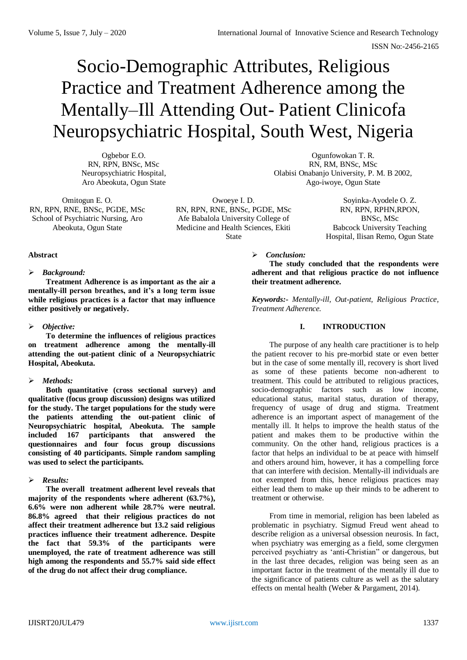# Socio-Demographic Attributes, Religious Practice and Treatment Adherence among the Mentally–Ill Attending Out- Patient Clinicofa Neuropsychiatric Hospital, South West, Nigeria

Ogbebor E.O. RN, RPN, BNSc, MSc Neuropsychiatric Hospital, Aro Abeokuta, Ogun State

Omitogun E. O. RN, RPN, RNE, BNSc, PGDE, MSc School of Psychiatric Nursing, Aro Abeokuta, Ogun State

Owoeye I. D. RN, RPN, RNE, BNSc, PGDE, MSc Afe Babalola University College of Medicine and Health Sciences, Ekiti State

Ago-iwoye, Ogun State Soyinka-Ayodele O. Z. RN, RPN, RPHN,RPON,

BNSc, MSc Babcock University Teaching Hospital, Ilisan Remo, Ogun State

## **Abstract**

## *Background:*

**Treatment Adherence is as important as the air a mentally-ill person breathes, and it's a long term issue while religious practices is a factor that may influence either positively or negatively.** 

## *Objective:*

**To determine the influences of religious practices on treatment adherence among the mentally-ill attending the out-patient clinic of a Neuropsychiatric Hospital, Abeokuta.** 

## *Methods:*

**Both quantitative (cross sectional survey) and qualitative (focus group discussion) designs was utilized for the study. The target populations for the study were the patients attending the out-patient clinic of Neuropsychiatric hospital, Abeokuta. The sample included 167 participants that answered the questionnaires and four focus group discussions consisting of 40 participants. Simple random sampling was used to select the participants.** 

## *Results:*

**The overall treatment adherent level reveals that majority of the respondents where adherent (63.7%), 6.6% were non adherent while 28.7% were neutral. 86.8% agreed that their religious practices do not affect their treatment adherence but 13.2 said religious practices influence their treatment adherence. Despite the fact that 59.3% of the participants were unemployed, the rate of treatment adherence was still high among the respondents and 55.7% said side effect of the drug do not affect their drug compliance.**

#### *Conclusion:*

**The study concluded that the respondents were adherent and that religious practice do not influence their treatment adherence.**

Ogunfowokan T. R. RN, RM, BNSc, MSc Olabisi Onabanjo University, P. M. B 2002,

*Keywords:- Mentally-ill, Out-patient, Religious Practice, Treatment Adherence.*

## **I. INTRODUCTION**

The purpose of any health care practitioner is to help the patient recover to his pre-morbid state or even better but in the case of some mentally ill, recovery is short lived as some of these patients become non-adherent to treatment. This could be attributed to religious practices, socio-demographic factors such as low income, educational status, marital status, duration of therapy, frequency of usage of drug and stigma. Treatment adherence is an important aspect of management of the mentally ill. It helps to improve the health status of the patient and makes them to be productive within the community. On the other hand, religious practices is a factor that helps an individual to be at peace with himself and others around him, however, it has a compelling force that can interfere with decision. Mentally-ill individuals are not exempted from this, hence religious practices may either lead them to make up their minds to be adherent to treatment or otherwise.

From time in memorial, religion has been labeled as problematic in psychiatry. Sigmud Freud went ahead to describe religion as a universal obsession neurosis. In fact, when psychiatry was emerging as a field, some clergymen perceived psychiatry as 'anti-Christian" or dangerous, but in the last three decades, religion was being seen as an important factor in the treatment of the mentally ill due to the significance of patients culture as well as the salutary effects on mental health (Weber & Pargament, 2014).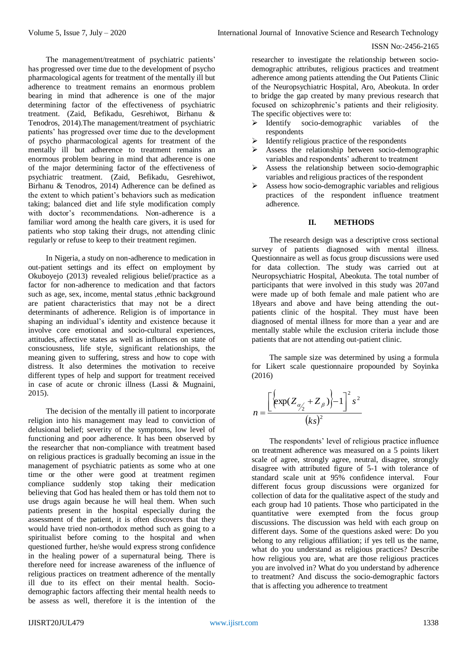The management/treatment of psychiatric patients' has progressed over time due to the development of psycho pharmacological agents for treatment of the mentally ill but adherence to treatment remains an enormous problem bearing in mind that adherence is one of the major determining factor of the effectiveness of psychiatric treatment. (Zaid, Befikadu, Gesrehiwot, Birhanu & Tenodros, 2014).The management/treatment of psychiatric patients' has progressed over time due to the development of psycho pharmacological agents for treatment of the mentally ill but adherence to treatment remains an enormous problem bearing in mind that adherence is one of the major determining factor of the effectiveness of psychiatric treatment. (Zaid, Befikadu, Gesrehiwot, Birhanu & Tenodros, 2014) Adherence can be defined as the extent to which patient's behaviors such as medication taking; balanced diet and life style modification comply with doctor's recommendations. Non-adherence is a familiar word among the health care givers, it is used for patients who stop taking their drugs, not attending clinic regularly or refuse to keep to their treatment regimen.

In Nigeria, a study on non-adherence to medication in out-patient settings and its effect on employment by Okuboyejo (2013) revealed religious belief/practice as a factor for non-adherence to medication and that factors such as age, sex, income, mental status ,ethnic background are patient characteristics that may not be a direct determinants of adherence. Religion is of importance in shaping an individual's identity and existence because it involve core emotional and socio-cultural experiences, attitudes, affective states as well as influences on state of consciousness, life style, significant relationships, the meaning given to suffering, stress and how to cope with distress. It also determines the motivation to receive different types of help and support for treatment received in case of acute or chronic illness (Lassi & Mugnaini, 2015).

The decision of the mentally ill patient to incorporate religion into his management may lead to conviction of delusional belief; severity of the symptoms, low level of functioning and poor adherence. It has been observed by the researcher that non-compliance with treatment based on religious practices is gradually becoming an issue in the management of psychiatric patients as some who at one time or the other were good at treatment regimen compliance suddenly stop taking their medication believing that God has healed them or has told them not to use drugs again because he will heal them. When such patients present in the hospital especially during the assessment of the patient, it is often discovers that they would have tried non-orthodox method such as going to a spiritualist before coming to the hospital and when questioned further, he/she would express strong confidence in the healing power of a supernatural being. There is therefore need for increase awareness of the influence of religious practices on treatment adherence of the mentally ill due to its effect on their mental health. Sociodemographic factors affecting their mental health needs to be assess as well, therefore it is the intention of the

researcher to investigate the relationship between sociodemographic attributes, religious practices and treatment adherence among patients attending the Out Patients Clinic of the Neuropsychiatric Hospital, Aro, Abeokuta. In order to bridge the gap created by many previous research that focused on schizophrenic's patients and their religiosity. The specific objectives were to:

- $\triangleright$  Identify socio-demographic variables of the respondents
- $\triangleright$  Identify religious practice of the respondents
- $\triangleright$  Assess the relationship between socio-demographic variables and respondents' adherent to treatment
- $\triangleright$  Assess the relationship between socio-demographic variables and religious practices of the respondent
- $\triangleright$  Assess how socio-demographic variables and religious practices of the respondent influence treatment adherence.

## **II. METHODS**

The research design was a descriptive cross sectional survey of patients diagnosed with mental illness. Questionnaire as well as focus group discussions were used for data collection. The study was carried out at Neuropsychiatric Hospital, Abeokuta. The total number of participants that were involved in this study was 207and were made up of both female and male patient who are 18years and above and have being attending the outpatients clinic of the hospital. They must have been diagnosed of mental illness for more than a year and are mentally stable while the exclusion criteria include those patients that are not attending out-patient clinic.

The sample size was determined by using a formula for Likert scale questionnaire propounded by Soyinka (2016)

$$
n = \frac{\left[\left\{\exp(Z_{\alpha/2} + Z_{\beta})\right\} - 1\right]^2 s^2}{(ks)^2}
$$

The respondents' level of religious practice influence on treatment adherence was measured on a 5 points likert scale of agree, strongly agree, neutral, disagree, strongly disagree with attributed figure of 5-1 with tolerance of standard scale unit at 95% confidence interval. Four different focus group discussions were organized for collection of data for the qualitative aspect of the study and each group had 10 patients. Those who participated in the quantitative were exempted from the focus group discussions. The discussion was held with each group on different days. Some of the questions asked were: Do you belong to any religious affiliation; if yes tell us the name, what do you understand as religious practices? Describe how religious you are, what are those religious practices you are involved in? What do you understand by adherence to treatment? And discuss the socio-demographic factors that is affecting you adherence to treatment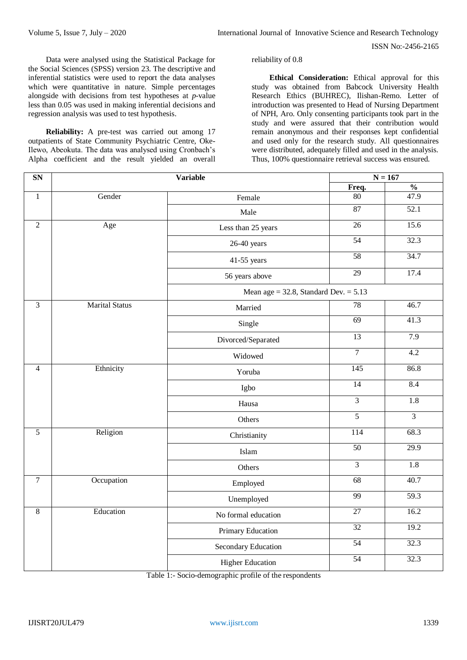Data were analysed using the Statistical Package for the Social Sciences (SPSS) version 23. The descriptive and inferential statistics were used to report the data analyses which were quantitative in nature. Simple percentages alongside with decisions from test hypotheses at *p-*value less than 0.05 was used in making inferential decisions and regression analysis was used to test hypothesis.

**Reliability:** A pre-test was carried out among 17 outpatients of State Community Psychiatric Centre, Oke-Ilewo, Abeokuta. The data was analysed using Cronbach's Alpha coefficient and the result yielded an overall reliability of 0.8

**Ethical Consideration:** Ethical approval for this study was obtained from Babcock University Health Research Ethics (BUHREC), Ilishan-Remo. Letter of introduction was presented to Head of Nursing Department of NPH, Aro. Only consenting participants took part in the study and were assured that their contribution would remain anonymous and their responses kept confidential and used only for the research study. All questionnaires were distributed, adequately filled and used in the analysis. Thus, 100% questionnaire retrieval success was ensured.

| SN             |                       | $N = 167$<br>Variable                      |                        |                  |  |  |
|----------------|-----------------------|--------------------------------------------|------------------------|------------------|--|--|
|                |                       |                                            | $\frac{0}{6}$<br>Freq. |                  |  |  |
| $\overline{1}$ | Gender                | Female                                     | 80                     | 47.9             |  |  |
|                |                       | Male                                       | 87                     | 52.1             |  |  |
| $\overline{2}$ | Age                   | Less than 25 years                         | 26                     | 15.6             |  |  |
|                |                       | 26-40 years                                | 54                     | 32.3             |  |  |
|                |                       | 41-55 years                                | 58                     | 34.7             |  |  |
|                |                       | 56 years above                             | 29                     | 17.4             |  |  |
|                |                       | Mean age = $32.8$ , Standard Dev. = $5.13$ |                        |                  |  |  |
| $\overline{3}$ | <b>Marital Status</b> | Married                                    | 78                     | 46.7             |  |  |
|                |                       | Single                                     | 69                     | 41.3             |  |  |
|                |                       | Divorced/Separated                         | $\overline{13}$        | 7.9              |  |  |
|                |                       | Widowed                                    | $\overline{7}$         | 4.2              |  |  |
| $\overline{4}$ | Ethnicity             | Yoruba                                     | 145                    | 86.8             |  |  |
|                |                       | Igbo                                       | 14                     | 8.4              |  |  |
|                |                       | Hausa                                      | $\overline{3}$         | 1.8              |  |  |
|                |                       | Others                                     | $\overline{5}$         | $\overline{3}$   |  |  |
| $\overline{5}$ | Religion              | Christianity                               | 114                    | 68.3             |  |  |
|                |                       | Islam                                      | 50                     | 29.9             |  |  |
|                |                       | Others                                     | $\overline{3}$         | $\overline{1.8}$ |  |  |
| $\overline{7}$ | Occupation            | Employed                                   | $\overline{68}$        | 40.7             |  |  |
|                |                       | Unemployed                                 | 99                     | 59.3             |  |  |
| $\overline{8}$ | Education             | No formal education                        | $\overline{27}$        | 16.2             |  |  |
|                |                       | Primary Education                          | 32                     | 19.2             |  |  |
|                |                       | Secondary Education                        | 54                     | 32.3             |  |  |
|                |                       | <b>Higher Education</b>                    | $\overline{54}$        | 32.3             |  |  |

Table 1:- Socio-demographic profile of the respondents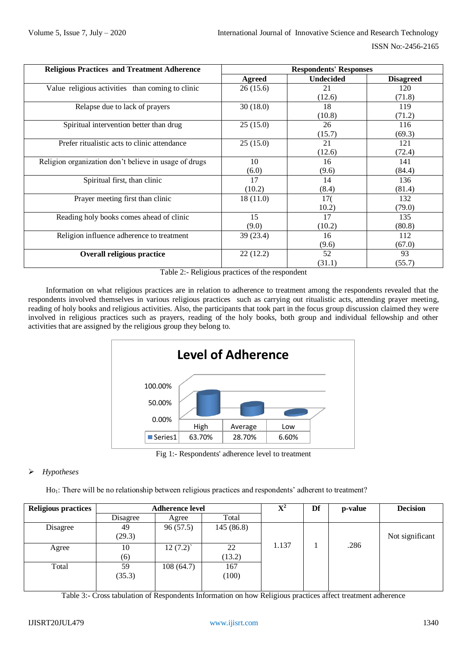| <b>Religious Practices and Treatment Adherence</b>    | <b>Respondents' Responses</b> |                  |                  |  |
|-------------------------------------------------------|-------------------------------|------------------|------------------|--|
|                                                       | <b>Agreed</b>                 | <b>Undecided</b> | <b>Disagreed</b> |  |
| Value religious activities than coming to clinic      | 26(15.6)                      | 21               | 120              |  |
|                                                       |                               | (12.6)           | (71.8)           |  |
| Relapse due to lack of prayers                        | 30(18.0)                      | 18               | 119              |  |
|                                                       |                               | (10.8)           | (71.2)           |  |
| Spiritual intervention better than drug               | 25(15.0)                      | 26               | 116              |  |
|                                                       |                               | (15.7)           | (69.3)           |  |
| Prefer ritualistic acts to clinic attendance          | 25(15.0)                      | 21               | 121              |  |
|                                                       |                               | (12.6)           | (72.4)           |  |
| Religion organization don't believe in usage of drugs | 10                            | 16               | 141              |  |
|                                                       | (6.0)                         | (9.6)            | (84.4)           |  |
| Spiritual first, than clinic                          | 17                            | 14               | 136              |  |
|                                                       | (10.2)                        | (8.4)            | (81.4)           |  |
| Prayer meeting first than clinic                      | 18(11.0)                      | 170              | 132              |  |
|                                                       |                               | 10.2)            | (79.0)           |  |
| Reading holy books comes ahead of clinic              | 15                            | 17               | 135              |  |
|                                                       | (9.0)                         | (10.2)           | (80.8)           |  |
| Religion influence adherence to treatment             | 39 (23.4)                     | 16               | 112              |  |
|                                                       |                               | (9.6)            | (67.0)           |  |
| <b>Overall religious practice</b>                     | 22(12.2)                      | 52               | 93               |  |
|                                                       |                               | (31.1)           | (55.7)           |  |

Table 2:- Religious practices of the respondent

Information on what religious practices are in relation to adherence to treatment among the respondents revealed that the respondents involved themselves in various religious practices such as carrying out ritualistic acts, attending prayer meeting, reading of holy books and religious activities. Also, the participants that took part in the focus group discussion claimed they were involved in religious practices such as prayers, reading of the holy books, both group and individual fellowship and other activities that are assigned by the religious group they belong to.



Fig 1:- Respondents' adherence level to treatment

# *Hypotheses*

Ho<sub>1</sub>: There will be no relationship between religious practices and respondents' adherent to treatment?

| <b>Religious practices</b> | <b>Adherence level</b> |           |           | $\mathbf{X}^2$ | Df | p-value | <b>Decision</b> |
|----------------------------|------------------------|-----------|-----------|----------------|----|---------|-----------------|
|                            | Disagree               | Agree     | Total     |                |    |         |                 |
| Disagree                   | 49                     | 96(57.5)  | 145(86.8) |                |    |         |                 |
|                            | (29.3)                 |           |           |                |    |         | Not significant |
| Agree                      | 10                     | 12(7.2)   | 22        | 1.137          |    | .286    |                 |
|                            | (6)                    |           | (13.2)    |                |    |         |                 |
| Total                      | 59                     | 108(64.7) | 167       |                |    |         |                 |
|                            | (35.3)                 |           | 100)      |                |    |         |                 |
|                            |                        |           |           |                |    |         |                 |

Table 3:- Cross tabulation of Respondents Information on how Religious practices affect treatment adherence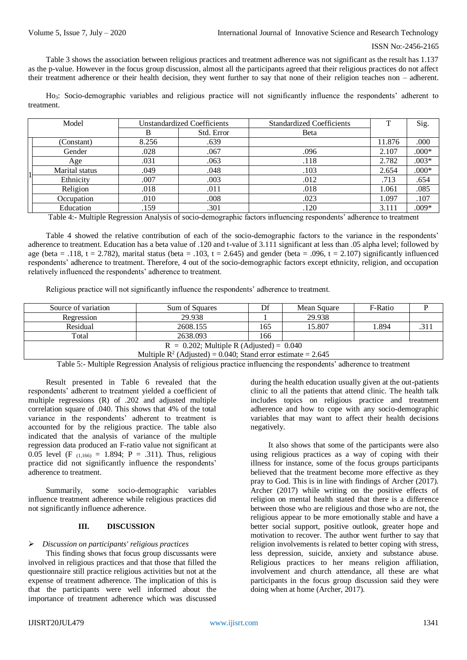Table 3 shows the association between religious practices and treatment adherence was not significant as the result has 1.137 as the p-value. However in the focus group discussion, almost all the participants agreed that their religious practices do not affect their treatment adherence or their health decision, they went further to say that none of their religion teaches non – adherent.

Ho<sub>3</sub>: Socio-demographic variables and religious practice will not significantly influence the respondents' adherent to treatment.

| Model |                |       | <b>Unstandardized Coefficients</b> | <b>Standardized Coefficients</b> | T      | Sig.    |
|-------|----------------|-------|------------------------------------|----------------------------------|--------|---------|
|       |                |       | Std. Error                         | Beta                             |        |         |
|       | (Constant)     | 8.256 | .639                               |                                  | 11.876 | .000    |
|       | Gender         | .028  | .067                               | .096                             | 2.107  | $.000*$ |
|       | Age            | .031  | .063                               | .118                             | 2.782  | $.003*$ |
|       | Marital status | .049  | .048                               | .103                             | 2.654  | $.000*$ |
|       | Ethnicity      | .007  | .003                               | .012                             | .713   | .654    |
|       | Religion       | .018  | .011                               | .018                             | 1.061  | .085    |
|       | Occupation     | .010  | .008                               | .023                             | 1.097  | .107    |
|       | Education      | .159  | .301                               | .120                             | 3.111  | $.009*$ |

Table 4:- Multiple Regression Analysis of socio-demographic factors influencing respondents' adherence to treatment

Table 4 showed the relative contribution of each of the socio-demographic factors to the variance in the respondents' adherence to treatment. Education has a beta value of .120 and t-value of 3.111 significant at less than .05 alpha level; followed by age (beta = .118, t = 2.782), marital status (beta = .103, t = 2.645) and gender (beta = .096, t = 2.107) significantly influenced respondents' adherence to treatment. Therefore, 4 out of the socio-demographic factors except ethnicity, religion, and occupation relatively influenced the respondents' adherence to treatment.

Religious practice will not significantly influence the respondents' adherence to treatment.

| Source of variation                                                                                                                       | Sum of Squares |     | Mean Square | F-Ratio |     |  |  |  |
|-------------------------------------------------------------------------------------------------------------------------------------------|----------------|-----|-------------|---------|-----|--|--|--|
| Regression                                                                                                                                | 29.938         |     | 29.938      |         |     |  |  |  |
| Residual                                                                                                                                  | 2608.155       | 165 | 15.807      | 894. ا  | 311 |  |  |  |
| Total                                                                                                                                     | 2638.093       | 166 |             |         |     |  |  |  |
| $R = 0.202$ ; Multiple R (Adjusted) = 0.040                                                                                               |                |     |             |         |     |  |  |  |
| Multiple $R^2$ (Adjusted) = 0.040; Stand error estimate = 2.645                                                                           |                |     |             |         |     |  |  |  |
| $\mathbf{r}$ , and $\mathbf{r}$ , and $\mathbf{r}$ , and $\mathbf{r}$ , and $\mathbf{r}$ , and $\mathbf{r}$ , and $\mathbf{r}$<br>_  _  _ |                |     |             |         |     |  |  |  |

Table 5:- Multiple Regression Analysis of religious practice influencing the respondents' adherence to treatment

Result presented in Table 6 revealed that the respondents' adherent to treatment yielded a coefficient of multiple regressions (R) of .202 and adjusted multiple correlation square of .040. This shows that 4% of the total variance in the respondents' adherent to treatment is accounted for by the religious practice. The table also indicated that the analysis of variance of the multiple regression data produced an F-ratio value not significant at 0.05 level (F  $_{(1.166)} = 1.894$ ; P = .311). Thus, religious practice did not significantly influence the respondents' adherence to treatment.

Summarily, some socio-demographic variables influence treatment adherence while religious practices did not significantly influence adherence.

#### **III. DISCUSSION**

## *Discussion on participants' religious practices*

This finding shows that focus group discussants were involved in religious practices and that those that filled the questionnaire still practice religious activities but not at the expense of treatment adherence. The implication of this is that the participants were well informed about the importance of treatment adherence which was discussed

during the health education usually given at the out-patients clinic to all the patients that attend clinic. The health talk includes topics on religious practice and treatment adherence and how to cope with any socio-demographic variables that may want to affect their health decisions negatively.

It also shows that some of the participants were also using religious practices as a way of coping with their illness for instance, some of the focus groups participants believed that the treatment become more effective as they pray to God. This is in line with findings of Archer (2017). Archer (2017) while writing on the positive effects of religion on mental health stated that there is a difference between those who are religious and those who are not, the religious appear to be more emotionally stable and have a better social support, positive outlook, greater hope and motivation to recover. The author went further to say that religion involvements is related to better coping with stress, less depression, suicide, anxiety and substance abuse. Religious practices to her means religion affiliation, involvement and church attendance, all these are what participants in the focus group discussion said they were doing when at home (Archer, 2017).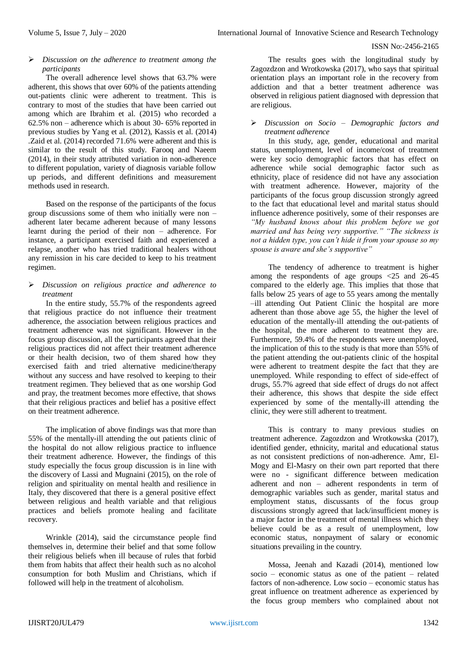## *Discussion on the adherence to treatment among the participants*

The overall adherence level shows that 63.7% were adherent, this shows that over 60% of the patients attending out-patients clinic were adherent to treatment. This is contrary to most of the studies that have been carried out among which are Ibrahim et al. (2015) who recorded a 62.5% non – adherence which is about 30- 65% reported in previous studies by Yang et al. (2012), Kassis et al. (2014) .Zaid et al. (2014) recorded 71.6% were adherent and this is similar to the result of this study. Farooq and Naeem (2014), in their study attributed variation in non-adherence to different population, variety of diagnosis variable follow up periods, and different definitions and measurement methods used in research.

Based on the response of the participants of the focus group discussions some of them who initially were non – adherent later became adherent because of many lessons learnt during the period of their non – adherence. For instance, a participant exercised faith and experienced a relapse, another who has tried traditional healers without any remission in his care decided to keep to his treatment regimen.

## *Discussion on religious practice and adherence to treatment*

In the entire study, 55.7% of the respondents agreed that religious practice do not influence their treatment adherence, the association between religious practices and treatment adherence was not significant. However in the focus group discussion, all the participants agreed that their religious practices did not affect their treatment adherence or their health decision, two of them shared how they exercised faith and tried alternative medicine/therapy without any success and have resolved to keeping to their treatment regimen. They believed that as one worship God and pray, the treatment becomes more effective, that shows that their religious practices and belief has a positive effect on their treatment adherence.

The implication of above findings was that more than 55% of the mentally-ill attending the out patients clinic of the hospital do not allow religious practice to influence their treatment adherence. However, the findings of this study especially the focus group discussion is in line with the discovery of Lassi and Mugnaini (2015), on the role of religion and spirituality on mental health and resilience in Italy, they discovered that there is a general positive effect between religious and health variable and that religious practices and beliefs promote healing and facilitate recovery.

Wrinkle (2014), said the circumstance people find themselves in, determine their belief and that some follow their religious beliefs when ill because of rules that forbid them from habits that affect their health such as no alcohol consumption for both Muslim and Christians, which if followed will help in the treatment of alcoholism.

The results goes with the longitudinal study by Zagozdzon and Wrotkowska (2017), who says that spiritual orientation plays an important role in the recovery from addiction and that a better treatment adherence was observed in religious patient diagnosed with depression that are religious.

# *Discussion on Socio – Demographic factors and treatment adherence*

In this study, age, gender, educational and marital status, unemployment, level of income/cost of treatment were key socio demographic factors that has effect on adherence while social demographic factor such as ethnicity, place of residence did not have any association with treatment adherence. However, majority of the participants of the focus group discussion strongly agreed to the fact that educational level and marital status should influence adherence positively, some of their responses are *"My husband knows about this problem before we got married and has being very supportive." "The sickness is not a hidden type, you can't hide it from your spouse so my spouse is aware and she's supportive"*

The tendency of adherence to treatment is higher among the respondents of age groups <25 and 26-45 compared to the elderly age. This implies that those that falls below 25 years of age to 55 years among the mentally –ill attending Out Patient Clinic the hospital are more adherent than those above age 55, the higher the level of education of the mentally-ill attending the out-patients of the hospital, the more adherent to treatment they are. Furthermore, 59.4% of the respondents were unemployed, the implication of this to the study is that more than 55% of the patient attending the out-patients clinic of the hospital were adherent to treatment despite the fact that they are unemployed. While responding to effect of side-effect of drugs, 55.7% agreed that side effect of drugs do not affect their adherence, this shows that despite the side effect experienced by some of the mentally-ill attending the clinic, they were still adherent to treatment.

This is contrary to many previous studies on treatment adherence. Zagozdzon and Wrotkowska (2017), identified gender, ethnicity, marital and educational status as not consistent predictions of non-adherence. Amr, El-Mogy and El-Masry on their own part reported that there were no - significant difference between medication adherent and non – adherent respondents in term of demographic variables such as gender, marital status and employment status, discussants of the focus group discussions strongly agreed that lack/insufficient money is a major factor in the treatment of mental illness which they believe could be as a result of unemployment, low economic status, nonpayment of salary or economic situations prevailing in the country.

Mossa, Jeenah and Kazadi (2014), mentioned low socio – economic status as one of the patient – related factors of non-adherence. Low socio – economic status has great influence on treatment adherence as experienced by the focus group members who complained about not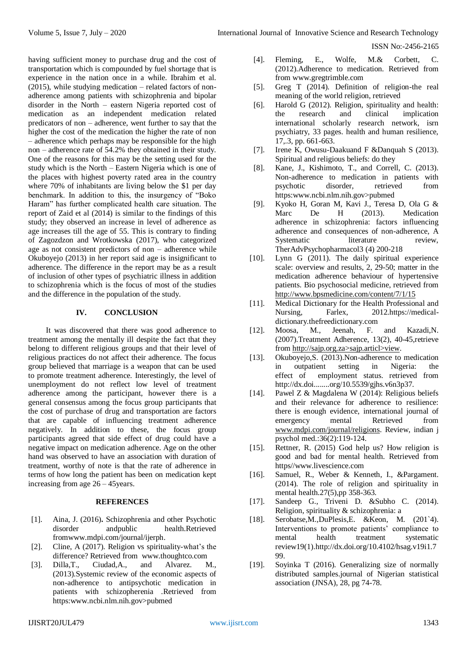having sufficient money to purchase drug and the cost of transportation which is compounded by fuel shortage that is experience in the nation once in a while. Ibrahim et al. (2015), while studying medication – related factors of nonadherence among patients with schizophrenia and bipolar disorder in the North – eastern Nigeria reported cost of medication as an independent medication related predicators of non – adherence, went further to say that the higher the cost of the medication the higher the rate of non – adherence which perhaps may be responsible for the high non – adherence rate of 54.2% they obtained in their study. One of the reasons for this may be the setting used for the study which is the North – Eastern Nigeria which is one of the places with highest poverty rated area in the country where 70% of inhabitants are living below the \$1 per day benchmark. In addition to this, the insurgency of "Boko Haram" has further complicated health care situation. The report of Zaid et al (2014) is similar to the findings of this study; they observed an increase in level of adherence as age increases till the age of 55. This is contrary to finding of Zagozdzon and Wrotkowska (2017), who categorized age as not consistent predictors of non – adherence while Okuboyejo (2013) in her report said age is insignificant to adherence. The difference in the report may be as a result of inclusion of other types of psychiatric illness in addition to schizophrenia which is the focus of most of the studies and the difference in the population of the study.

## **IV. CONCLUSION**

It was discovered that there was good adherence to treatment among the mentally ill despite the fact that they belong to different religious groups and that their level of religious practices do not affect their adherence. The focus group believed that marriage is a weapon that can be used to promote treatment adherence. Interestingly, the level of unemployment do not reflect low level of treatment adherence among the participant, however there is a general consensus among the focus group participants that the cost of purchase of drug and transportation are factors that are capable of influencing treatment adherence negatively. In addition to these, the focus group participants agreed that side effect of drug could have a negative impact on medication adherence. Age on the other hand was observed to have an association with duration of treatment, worthy of note is that the rate of adherence in terms of how long the patient has been on medication kept increasing from age 26 – 45years.

## **REFERENCES**

- [1]. Aina, J. (2016)**.** Schizophrenia and other Psychotic disorder andpublic health.Retrieved fromwww.mdpi.com/journal/ijerph.
- [2]. Cline, A (2017). Religion vs spirituality-what's the difference? Retrieved from www.thoughtco.com<br>Dilla.T.. Ciudad.A.. and Alvarez
- [3]. Dilla,T., Ciudad,A., and Alvarez. M., (2013).Systemic review of the economic aspects of non-adherence to antipsychotic medication in patients with schizopherenia .Retrieved from https:www.ncbi.nlm.nih.gov>pubmed
- [4]. Fleming, E., Wolfe, M.& Corbett, C. (2012).Adherence to medication. Retrieved from from www.gregtrimble.com
- [5]. Greg T (2014). Definition of religion-the real meaning of the world religion, retrieved
- [6]. Harold G (2012). Religion, spirituality and health: the research and clinical implication international scholarly research network, isrn psychiatry, 33 pages. health and human resilience, 17,.3, pp. 661-663.
- [7]. Irene  $\overline{K}$ , Owusu-Daakuand F &Danquah S (2013). Spiritual and religious beliefs: do they
- [8]. Kane, J., Kishimoto, T., and Correll, C. (2013). Non-adherence to medication in patients with psychotic disorder, retrieved from https:www.ncbi.nlm.nih.gov>pubmed
- [9]. Kyoko H, Goran M, Kavi J., Teresa D, Ola G & Marc De H (2013). Medication adherence in schizophrenia: factors influencing adherence and consequences of non-adherence, A Systematic literature review, TherAdvPsychopharmacol3 (4) 200-218
- [10]. Lynn G (2011). The daily spiritual experience scale: overview and results, 2, 29-50; matter in the medication adherence behaviour of hypertensive patients. Bio psychosocial medicine, retrieved from <http://www.bpsmedicine.com/content/7/1/15>
- [11]. Medical Dictionary for the Health Professional and Nursing, Farlex, 2012.https://medicaldictionary.thefreedictionary.com
- [12]. Moosa, M., Jeenah, F. and Kazadi,N. (2007).Treatment Adherence, 13(2), 40-45,retrieve from http://sajp.org.za>sajp.articl>view.
- [13]. Okuboyejo,S. (2013).Non-adherence to medication in outpatient setting in Nigeria: the effect of employment status. retrieved from http://dx.doi........org/10.5539/gjhs.v6n3p37.
- [14]. Pawel Z & Magdalena W (2014): Religious beliefs and their relevance for adherence to resilience: there is enough evidence, international journal of emergency mental Retrieved from [www.mdpi.com/journal/religions.](http://www.mdpi.com/journal/religions) Review, indian j psychol med.:36(2):119-124.
- [15]. Rettner, R. (2015) God help us? How religion is good and bad for mental health. Retrieved from https//www.livescience.com
- [16]. Samuel, R., Weber & Kenneth, I., &Pargament. (2014). The role of religion and spirituality in mental health.27(5),pp 358-363.
- [17]. Sandeep G., Triveni D. &Subho C. (2014). Religion, spirituality & schizophrenia: a
- [18]. Serobatse,M.,DuPlesis,E. &Keon, M. (201`4). Interventions to promote patients' compliance to mental health treatment systematic review19(1).http://dx.doi.org/10.4102/hsag.v19i1.7 99.
- [19]. Soyinka T (2016). Generalizing size of normally distributed samples.journal of Nigerian statistical association (JNSA), 28, pg 74-78.